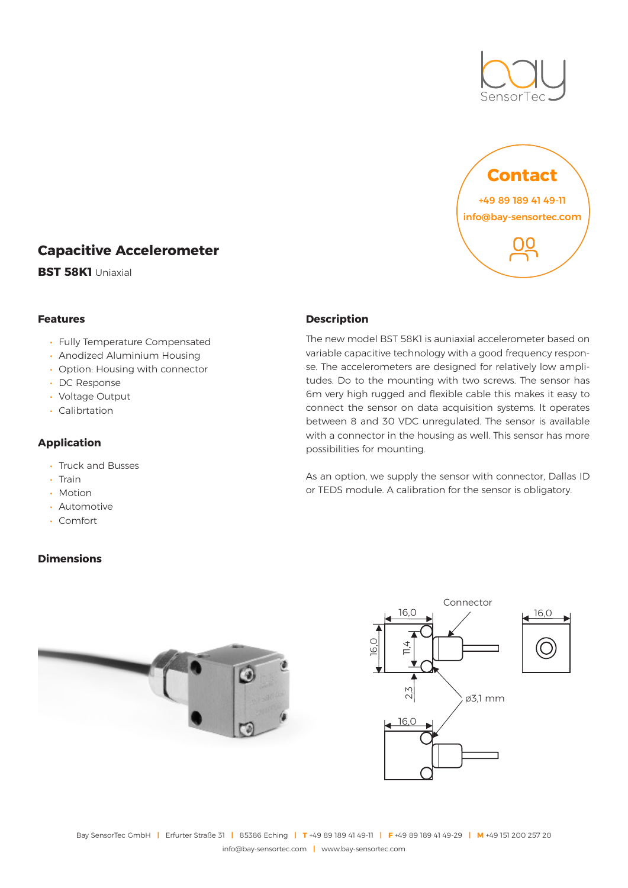



# **Capacitive Accelerometer**

**BST 58K1** Uniaxial

## **Features**

- Fully Temperature Compensated
- Anodized Aluminium Housing
- Option: Housing with connector
- DC Response
- Voltage Output
- Calibrtation

# **Application**

- Truck and Busses
- Train
- Motion
- Automotive
- Comfort

## **Dimensions**

# **Description**

The new model BST 58K1 is auniaxial accelerometer based on variable capacitive technology with a good frequency response. The accelerometers are designed for relatively low amplitudes. Do to the mounting with two screws. The sensor has 6m very high rugged and flexible cable this makes it easy to connect the sensor on data acquisition systems. lt operates between 8 and 30 VDC unregulated. The sensor is available with a connector in the housing as well. This sensor has more possibilities for mounting.

As an option, we supply the sensor with connector, Dallas ID or TEDS module. A calibration for the sensor is obligatory.